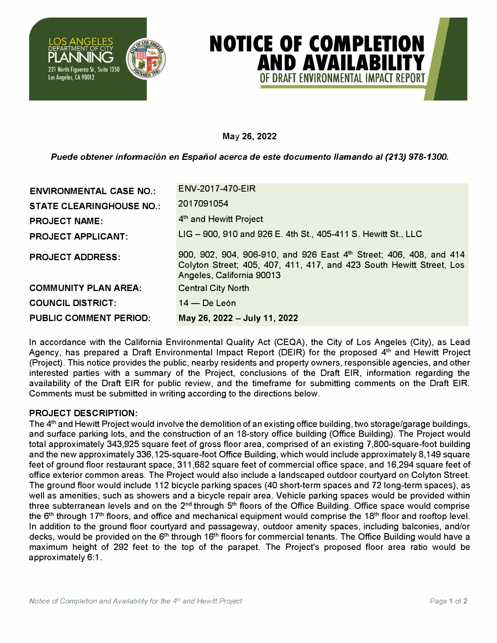

# **NOTICE OF COMPLETION AND AVAILABILIT** OF DRAFT ENVIRONMENTAL IMPACT R

May 26, 2022

*Puede obtener infonnaci6n en Espanol acerca de este documento 1/amando al (213) 978-1300.* 

| <b>ENVIRONMENTAL CASE NO.:</b>  | ENV-2017-470-EIR                                                                                                                                                        |
|---------------------------------|-------------------------------------------------------------------------------------------------------------------------------------------------------------------------|
| <b>STATE CLEARINGHOUSE NO.:</b> | 2017091054                                                                                                                                                              |
| <b>PROJECT NAME:</b>            | 4 <sup>th</sup> and Hewitt Project                                                                                                                                      |
| <b>PROJECT APPLICANT:</b>       | LIG - 900, 910 and 926 E. 4th St., 405-411 S. Hewitt St., LLC                                                                                                           |
| <b>PROJECT ADDRESS:</b>         | 900, 902, 904, 906-910, and 926 East 4th Street; 406, 408, and 414<br>Colyton Street; 405, 407, 411, 417, and 423 South Hewitt Street, Los<br>Angeles, California 90013 |
| <b>COMMUNITY PLAN AREA:</b>     | <b>Central City North</b>                                                                                                                                               |
| <b>COUNCIL DISTRICT:</b>        | $14 - De León$                                                                                                                                                          |
| <b>PUBLIC COMMENT PERIOD:</b>   | May 26, 2022 - July 11, 2022                                                                                                                                            |

In accordance with the California Environmental Quality Act (CEQA), the City of Los Angeles (City), as Lead Agency, has prepared a Draft Environmental Impact Report (DEIR) for the proposed 4<sup>th</sup> and Hewitt Project (Project). This notice provides the public, nearby residents and property owners, responsible agencies, and other interested parties with a summary of the Project, conclusions of the Draft EIR, information regarding the availability of the Draft EIR for public review, and the timeframe for submitting comments on the Draft EIR. Comments must be submitted in writing according to the directions below.

#### **PROJECT DESCRIPTION:**

The 4<sup>th</sup> and Hewitt Project would involve the demolition of an existing office building, two storage/garage buildings, and surface parking lots, and the construction of an 18-story office building (Office Building). The Project would total approximately 343,925 square feet of gross floor area, comprised of an existing 7,800-square-foot building and the new approximately 336, 125-square-foot Office Building, which would include approximately 8,149 square feet of ground floor restaurant space, 311,682 square feet of commercial office space, and 16,294 square feet of office exterior common areas. The Project would also include a landscaped outdoor courtyard on Colyton Street. The ground floor would include 112 bicycle parking spaces (40 short-term spaces and 72 long-term spaces), as well as amenities, such as showers and a bicycle repair area. Vehicle parking spaces would be provided within three subterranean levels and on the  $2^{nd}$  through  $5<sup>th</sup>$  floors of the Office Building. Office space would comprise the  $6<sup>th</sup>$  through 17<sup>th</sup> floors, and office and mechanical equipment would comprise the 18<sup>th</sup> floor and rooftop level. In addition to the ground floor courtyard and passageway, outdoor amenity spaces, including balconies, and/or decks, would be provided on the 6<sup>th</sup> through 16<sup>th</sup> floors for commercial tenants. The Office Building would have a maximum height of 292 feet to the top of the parapet. The Project's proposed floor area ratio would be approximately 6:1.